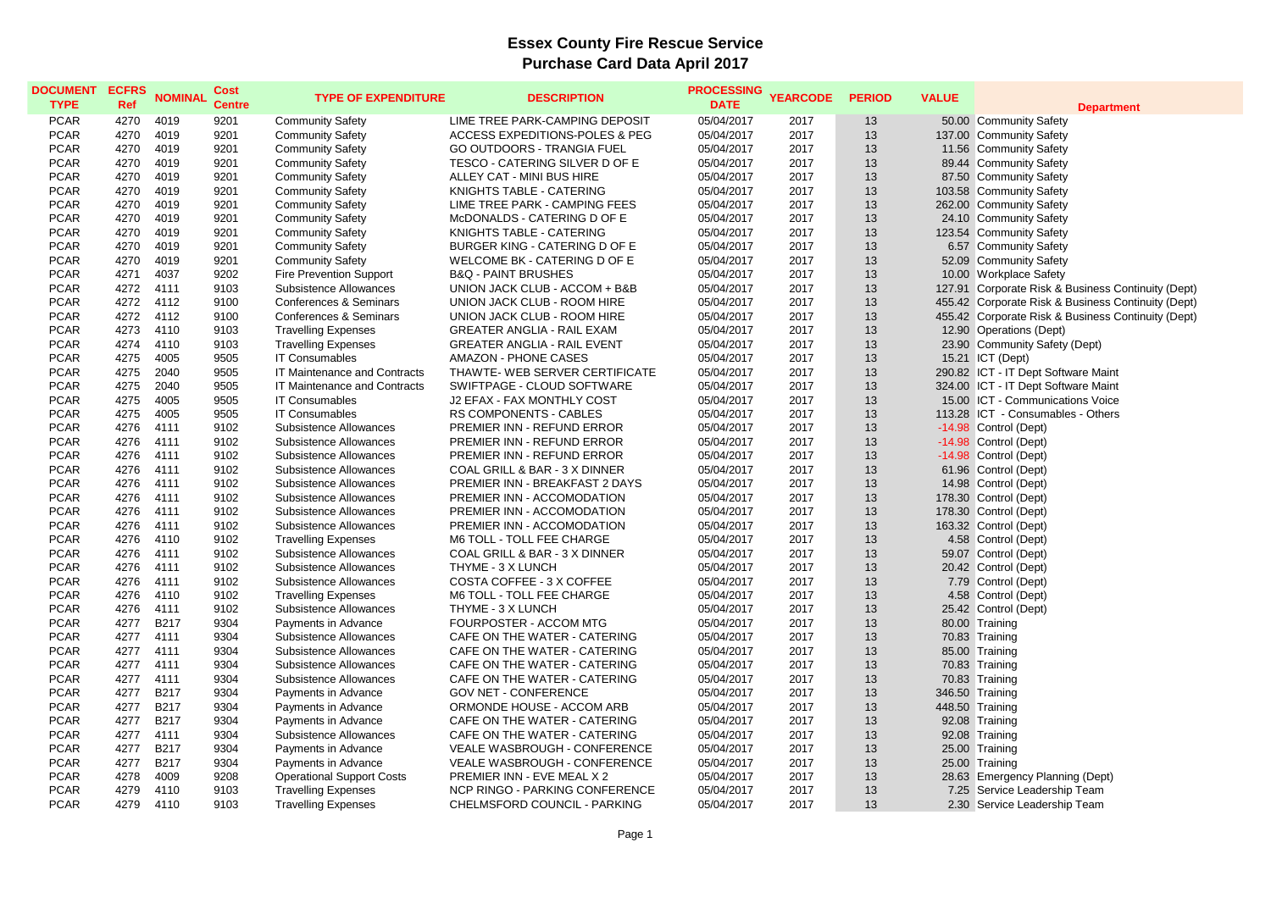**Department** Porate Risk & Business Continuity (Dept) Porate Risk & Business Continuity (Dept) Porate Risk & Business Continuity (Dept) IT Dept Software Maint IT Dept Software Maint Communications Voice - Consumables - Others rgency Planning (Dept)

| <b>DOCUMENT</b><br><b>TYPE</b> | <b>ECFRS</b><br><b>Ref</b> | <b>NOMINAL</b> | <b>Cost</b><br><b>Centre</b> | <b>TYPE OF EXPENDITURE</b>          | <b>DESCRIPTION</b>                        | <b>PROCESSING</b><br><b>DATE</b> | <b>YEARCODE</b> | <b>PERIOD</b> | <b>VALUE</b> | Depa                             |
|--------------------------------|----------------------------|----------------|------------------------------|-------------------------------------|-------------------------------------------|----------------------------------|-----------------|---------------|--------------|----------------------------------|
| <b>PCAR</b>                    | 4270                       | 4019           | 9201                         | <b>Community Safety</b>             | LIME TREE PARK-CAMPING DEPOSIT            | 05/04/2017                       | 2017            | 13            |              | 50.00 Community Safety           |
| <b>PCAR</b>                    | 4270                       | 4019           | 9201                         | <b>Community Safety</b>             | <b>ACCESS EXPEDITIONS-POLES &amp; PEG</b> | 05/04/2017                       | 2017            | 13            |              | 137.00 Community Safety          |
| <b>PCAR</b>                    | 4270                       | 4019           | 9201                         | <b>Community Safety</b>             | <b>GO OUTDOORS - TRANGIA FUEL</b>         | 05/04/2017                       | 2017            | 13            |              | 11.56 Community Safety           |
| <b>PCAR</b>                    | 4270                       | 4019           | 9201                         | <b>Community Safety</b>             | TESCO - CATERING SILVER D OF E            | 05/04/2017                       | 2017            | 13            |              | 89.44 Community Safety           |
| <b>PCAR</b>                    | 4270                       | 4019           | 9201                         | <b>Community Safety</b>             | ALLEY CAT - MINI BUS HIRE                 | 05/04/2017                       | 2017            | 13            |              | 87.50 Community Safety           |
| <b>PCAR</b>                    | 4270                       | 4019           | 9201                         | <b>Community Safety</b>             | KNIGHTS TABLE - CATERING                  | 05/04/2017                       | 2017            | 13            |              | 103.58 Community Safety          |
| <b>PCAR</b>                    | 4270                       | 4019           | 9201                         | <b>Community Safety</b>             | LIME TREE PARK - CAMPING FEES             | 05/04/2017                       | 2017            | 13            |              | 262.00 Community Safety          |
| <b>PCAR</b>                    | 4270                       | 4019           | 9201                         | <b>Community Safety</b>             | McDONALDS - CATERING D OF E               | 05/04/2017                       | 2017            | 13            |              | 24.10 Community Safety           |
| <b>PCAR</b>                    | 4270                       | 4019           | 9201                         | <b>Community Safety</b>             | KNIGHTS TABLE - CATERING                  | 05/04/2017                       | 2017            | 13            |              | 123.54 Community Safety          |
| <b>PCAR</b>                    | 4270                       | 4019           | 9201                         | <b>Community Safety</b>             | BURGER KING - CATERING D OF E             | 05/04/2017                       | 2017            | 13            |              | 6.57 Community Safety            |
| <b>PCAR</b>                    | 4270                       | 4019           | 9201                         | <b>Community Safety</b>             | WELCOME BK - CATERING D OF E              | 05/04/2017                       | 2017            | 13            |              | 52.09 Community Safety           |
| <b>PCAR</b>                    | 4271                       | 4037           | 9202                         | <b>Fire Prevention Support</b>      | <b>B&amp;Q - PAINT BRUSHES</b>            | 05/04/2017                       | 2017            | 13            |              | 10.00 Workplace Safety           |
| <b>PCAR</b>                    | 4272                       | 4111           | 9103                         | Subsistence Allowances              | UNION JACK CLUB - ACCOM + B&B             | 05/04/2017                       | 2017            | 13            | 127.91       | Corporate Risk & Busines         |
| <b>PCAR</b>                    | 4272                       | 4112           | 9100                         | <b>Conferences &amp; Seminars</b>   | UNION JACK CLUB - ROOM HIRE               | 05/04/2017                       | 2017            | 13            |              | 455.42 Corporate Risk & Busines  |
| <b>PCAR</b>                    | 4272                       | 4112           | 9100                         | <b>Conferences &amp; Seminars</b>   | UNION JACK CLUB - ROOM HIRE               | 05/04/2017                       | 2017            | 13            |              | 455.42 Corporate Risk & Busines  |
| <b>PCAR</b>                    | 4273                       | 4110           | 9103                         | <b>Travelling Expenses</b>          | <b>GREATER ANGLIA - RAIL EXAM</b>         | 05/04/2017                       | 2017            | 13            |              | 12.90 Operations (Dept)          |
| <b>PCAR</b>                    | 4274                       | 4110           | 9103                         | <b>Travelling Expenses</b>          | <b>GREATER ANGLIA - RAIL EVENT</b>        | 05/04/2017                       | 2017            | 13            |              | 23.90 Community Safety (Dept)    |
| <b>PCAR</b>                    | 4275                       | 4005           | 9505                         | <b>IT Consumables</b>               | <b>AMAZON - PHONE CASES</b>               | 05/04/2017                       | 2017            | 13            | 15.21        | ICT (Dept)                       |
| <b>PCAR</b>                    | 4275                       | 2040           | 9505                         | <b>IT Maintenance and Contracts</b> | THAWTE- WEB SERVER CERTIFICATE            | 05/04/2017                       | 2017            | 13            |              | 290.82 ICT - IT Dept Software Ma |
| <b>PCAR</b>                    | 4275                       | 2040           | 9505                         | IT Maintenance and Contracts        | SWIFTPAGE - CLOUD SOFTWARE                | 05/04/2017                       | 2017            | 13            |              | 324.00 ICT - IT Dept Software Ma |
| <b>PCAR</b>                    | 4275                       | 4005           | 9505                         | <b>IT Consumables</b>               | J2 EFAX - FAX MONTHLY COST                | 05/04/2017                       | 2017            | 13            | 15.00        | <b>ICT - Communications Vo</b>   |
| <b>PCAR</b>                    | 4275                       | 4005           | 9505                         | <b>IT Consumables</b>               | <b>RS COMPONENTS - CABLES</b>             | 05/04/2017                       | 2017            | 13            | 113.28       | ICT - Consumables - Oth          |
| <b>PCAR</b>                    | 4276                       | 4111           | 9102                         | <b>Subsistence Allowances</b>       | PREMIER INN - REFUND ERROR                | 05/04/2017                       | 2017            | 13            |              | -14.98 Control (Dept)            |
| <b>PCAR</b>                    | 4276                       | 4111           | 9102                         | Subsistence Allowances              | PREMIER INN - REFUND ERROR                | 05/04/2017                       | 2017            | 13            |              | -14.98 Control (Dept)            |
| <b>PCAR</b>                    | 4276                       | 4111           | 9102                         | <b>Subsistence Allowances</b>       | PREMIER INN - REFUND ERROR                | 05/04/2017                       | 2017            | 13            |              | -14.98 Control (Dept)            |
| <b>PCAR</b>                    | 4276                       | 4111           | 9102                         | Subsistence Allowances              | COAL GRILL & BAR - 3 X DINNER             | 05/04/2017                       | 2017            | 13            |              | 61.96 Control (Dept)             |
| <b>PCAR</b>                    | 4276                       | 4111           | 9102                         | Subsistence Allowances              | PREMIER INN - BREAKFAST 2 DAYS            | 05/04/2017                       | 2017            | 13            |              | 14.98 Control (Dept)             |
| <b>PCAR</b>                    | 4276                       | 4111           | 9102                         | <b>Subsistence Allowances</b>       | PREMIER INN - ACCOMODATION                | 05/04/2017                       | 2017            | 13            |              | 178.30 Control (Dept)            |
| <b>PCAR</b>                    | 4276                       | 4111           | 9102                         | <b>Subsistence Allowances</b>       | PREMIER INN - ACCOMODATION                | 05/04/2017                       | 2017            | 13            |              | 178.30 Control (Dept)            |
| <b>PCAR</b>                    | 4276                       | 4111           | 9102                         | <b>Subsistence Allowances</b>       | PREMIER INN - ACCOMODATION                | 05/04/2017                       | 2017            | 13            |              | 163.32 Control (Dept)            |
| <b>PCAR</b>                    | 4276                       | 4110           | 9102                         | <b>Travelling Expenses</b>          | M6 TOLL - TOLL FEE CHARGE                 | 05/04/2017                       | 2017            | 13            |              | 4.58 Control (Dept)              |
| <b>PCAR</b>                    | 4276                       | 4111           | 9102                         | <b>Subsistence Allowances</b>       | COAL GRILL & BAR - 3 X DINNER             | 05/04/2017                       | 2017            | 13            | 59.07        | Control (Dept)                   |
| <b>PCAR</b>                    | 4276                       | 4111           | 9102                         | <b>Subsistence Allowances</b>       | THYME - 3 X LUNCH                         | 05/04/2017                       | 2017            | 13            |              | 20.42 Control (Dept)             |
| <b>PCAR</b>                    | 4276                       | 4111           | 9102                         | Subsistence Allowances              | COSTA COFFEE - 3 X COFFEE                 | 05/04/2017                       | 2017            | 13            |              | 7.79 Control (Dept)              |
| <b>PCAR</b>                    | 4276                       | 4110           | 9102                         | <b>Travelling Expenses</b>          | M6 TOLL - TOLL FEE CHARGE                 | 05/04/2017                       | 2017            | 13            |              | 4.58 Control (Dept)              |
| <b>PCAR</b>                    | 4276                       | 4111           | 9102                         | <b>Subsistence Allowances</b>       | THYME - 3 X LUNCH                         | 05/04/2017                       | 2017            | 13            |              | 25.42 Control (Dept)             |
| <b>PCAR</b>                    | 4277                       | <b>B217</b>    | 9304                         | Payments in Advance                 | FOURPOSTER - ACCOM MTG                    | 05/04/2017                       | 2017            | 13            |              | 80.00 Training                   |
| <b>PCAR</b>                    | 4277                       | 4111           | 9304                         | Subsistence Allowances              | CAFE ON THE WATER - CATERING              | 05/04/2017                       | 2017            | 13            |              | 70.83 Training                   |
| <b>PCAR</b>                    | 4277                       | 4111           | 9304                         | <b>Subsistence Allowances</b>       | CAFE ON THE WATER - CATERING              | 05/04/2017                       | 2017            | 13            |              | 85.00 Training                   |
| <b>PCAR</b>                    | 4277                       | 4111           | 9304                         | <b>Subsistence Allowances</b>       | CAFE ON THE WATER - CATERING              | 05/04/2017                       | 2017            | 13            |              | 70.83 Training                   |
| <b>PCAR</b>                    | 4277                       | 4111           | 9304                         | <b>Subsistence Allowances</b>       | CAFE ON THE WATER - CATERING              | 05/04/2017                       | 2017            | 13            |              | 70.83 Training                   |
| <b>PCAR</b>                    | 4277                       | <b>B217</b>    | 9304                         | Payments in Advance                 | <b>GOV NET - CONFERENCE</b>               | 05/04/2017                       | 2017            | 13            |              | 346.50 Training                  |
| <b>PCAR</b>                    | 4277                       | <b>B217</b>    | 9304                         | Payments in Advance                 | ORMONDE HOUSE - ACCOM ARB                 | 05/04/2017                       | 2017            | 13            |              | 448.50 Training                  |
| <b>PCAR</b>                    | 4277                       | <b>B217</b>    | 9304                         | Payments in Advance                 | CAFE ON THE WATER - CATERING              | 05/04/2017                       | 2017            | 13            |              | 92.08 Training                   |
| <b>PCAR</b>                    | 4277                       | 4111           | 9304                         | <b>Subsistence Allowances</b>       | CAFE ON THE WATER - CATERING              | 05/04/2017                       | 2017            | 13            |              | 92.08 Training                   |
| <b>PCAR</b>                    | 4277                       | <b>B217</b>    | 9304                         | Payments in Advance                 | VEALE WASBROUGH - CONFERENCE              | 05/04/2017                       | 2017            | 13            |              | 25.00 Training                   |
| <b>PCAR</b>                    | 4277                       | <b>B217</b>    | 9304                         | Payments in Advance                 | VEALE WASBROUGH - CONFERENCE              | 05/04/2017                       | 2017            | 13            |              | 25.00 Training                   |
| <b>PCAR</b>                    | 4278                       | 4009           | 9208                         | <b>Operational Support Costs</b>    | PREMIER INN - EVE MEAL X 2                | 05/04/2017                       | 2017            | 13            |              | 28.63 Emergency Planning (Dep    |
| <b>PCAR</b>                    | 4279                       | 4110           | 9103                         | <b>Travelling Expenses</b>          | NCP RINGO - PARKING CONFERENCE            | 05/04/2017                       | 2017            | 13            |              | 7.25 Service Leadership Team     |
| <b>PCAR</b>                    | 4279                       | 4110           | 9103                         | <b>Travelling Expenses</b>          | CHELMSFORD COUNCIL - PARKING              | 05/04/2017                       | 2017            | 13            |              | 2.30 Service Leadership Team     |
|                                |                            |                |                              |                                     |                                           |                                  |                 |               |              |                                  |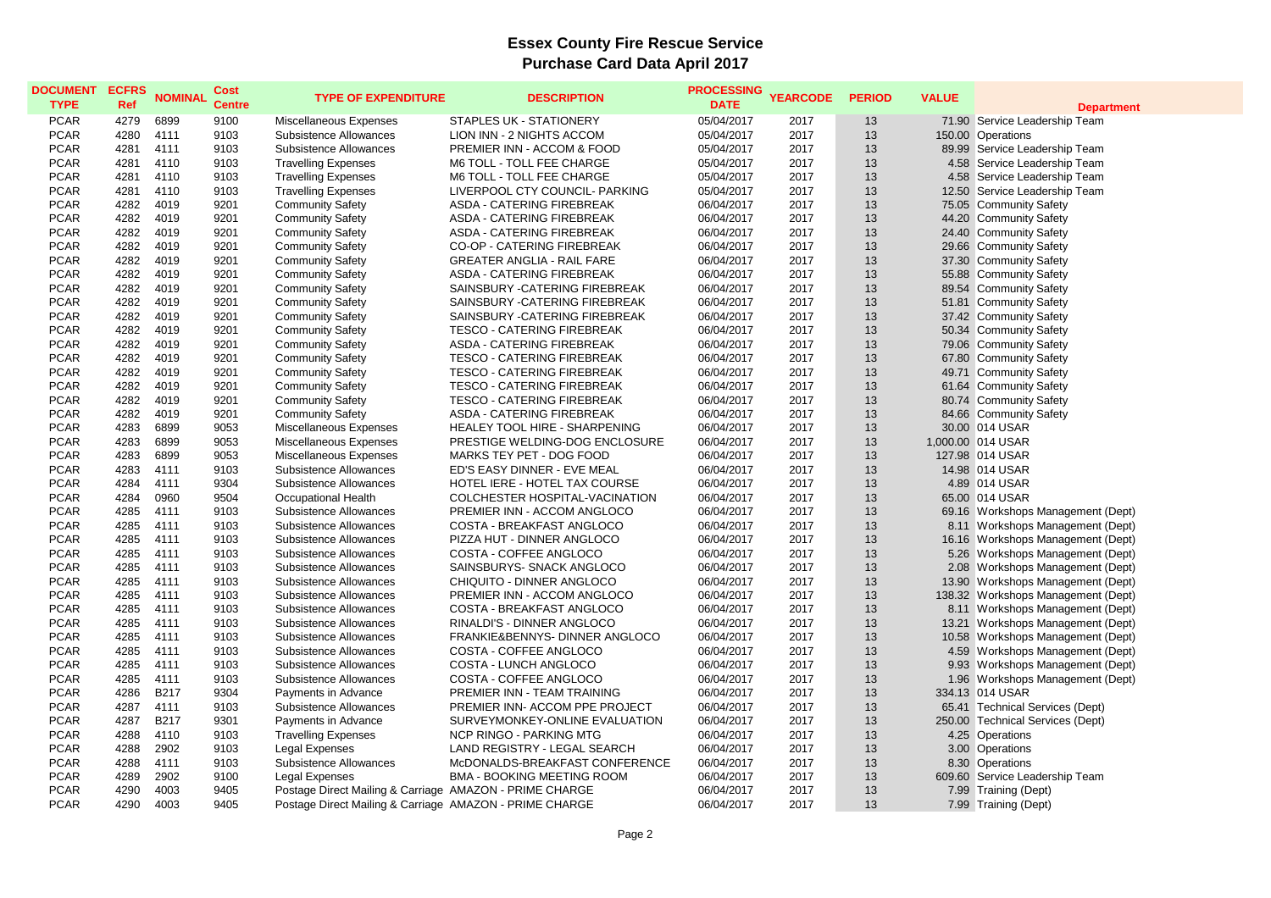**Department** shops Management (Dept) shops Management (Dept) shops Management (Dept) shops Management (Dept) shops Management (Dept) shops Management (Dept) shops Management (Dept) shops Management (Dept) shops Management (Dept) shops Management (Dept) shops Management (Dept) shops Management (Dept) shops Management (Dept)

| <b>DOCUMENT</b><br><b>TYPE</b> | <b>ECFRS</b><br><b>Ref</b> | <b>NOMINAL</b> | <b>Cost</b><br><b>Centre</b> | <b>TYPE OF EXPENDITURE</b>                              | <b>DESCRIPTION</b>                | <b>PROCESSING</b><br><b>DATE</b> | <b>YEARCODE</b> | <b>PERIOD</b> | <b>VALUE</b> | Depa                             |
|--------------------------------|----------------------------|----------------|------------------------------|---------------------------------------------------------|-----------------------------------|----------------------------------|-----------------|---------------|--------------|----------------------------------|
| <b>PCAR</b>                    | 4279                       | 6899           | 9100                         | Miscellaneous Expenses                                  | STAPLES UK - STATIONERY           | 05/04/2017                       | 2017            | 13            |              | 71.90 Service Leadership Team    |
| <b>PCAR</b>                    | 4280                       | 4111           | 9103                         | Subsistence Allowances                                  | LION INN - 2 NIGHTS ACCOM         | 05/04/2017                       | 2017            | 13            | 150.00       | Operations                       |
| <b>PCAR</b>                    | 4281                       | 4111           | 9103                         | <b>Subsistence Allowances</b>                           | PREMIER INN - ACCOM & FOOD        | 05/04/2017                       | 2017            | 13            |              | 89.99 Service Leadership Team    |
| <b>PCAR</b>                    | 4281                       | 4110           | 9103                         | <b>Travelling Expenses</b>                              | M6 TOLL - TOLL FEE CHARGE         | 05/04/2017                       | 2017            | 13            |              | 4.58 Service Leadership Team     |
| <b>PCAR</b>                    | 4281                       | 4110           | 9103                         | <b>Travelling Expenses</b>                              | M6 TOLL - TOLL FEE CHARGE         | 05/04/2017                       | 2017            | 13            | 4.58         | Service Leadership Team          |
| <b>PCAR</b>                    | 4281                       | 4110           | 9103                         | <b>Travelling Expenses</b>                              | LIVERPOOL CTY COUNCIL- PARKING    | 05/04/2017                       | 2017            | 13            | 12.50        | Service Leadership Team          |
| <b>PCAR</b>                    | 4282                       | 4019           | 9201                         | <b>Community Safety</b>                                 | ASDA - CATERING FIREBREAK         | 06/04/2017                       | 2017            | 13            | 75.05        | <b>Community Safety</b>          |
| <b>PCAR</b>                    | 4282                       | 4019           | 9201                         | <b>Community Safety</b>                                 | ASDA - CATERING FIREBREAK         | 06/04/2017                       | 2017            | 13            | 44.20        | Community Safety                 |
| <b>PCAR</b>                    | 4282                       | 4019           | 9201                         | <b>Community Safety</b>                                 | ASDA - CATERING FIREBREAK         | 06/04/2017                       | 2017            | 13            |              | 24.40 Community Safety           |
| <b>PCAR</b>                    | 4282                       | 4019           | 9201                         | <b>Community Safety</b>                                 | <b>CO-OP - CATERING FIREBREAK</b> | 06/04/2017                       | 2017            | 13            | 29.66        | Community Safety                 |
| <b>PCAR</b>                    | 4282                       | 4019           | 9201                         | <b>Community Safety</b>                                 | <b>GREATER ANGLIA - RAIL FARE</b> | 06/04/2017                       | 2017            | 13            |              | 37.30 Community Safety           |
| <b>PCAR</b>                    | 4282                       | 4019           | 9201                         | <b>Community Safety</b>                                 | <b>ASDA - CATERING FIREBREAK</b>  | 06/04/2017                       | 2017            | 13            |              | 55.88 Community Safety           |
| <b>PCAR</b>                    | 4282                       | 4019           | 9201                         | <b>Community Safety</b>                                 | SAINSBURY - CATERING FIREBREAK    | 06/04/2017                       | 2017            | 13            |              | 89.54 Community Safety           |
| <b>PCAR</b>                    | 4282                       | 4019           | 9201                         | <b>Community Safety</b>                                 | SAINSBURY - CATERING FIREBREAK    | 06/04/2017                       | 2017            | 13            | 51.81        | Community Safety                 |
| <b>PCAR</b>                    | 4282                       | 4019           | 9201                         | <b>Community Safety</b>                                 | SAINSBURY - CATERING FIREBREAK    | 06/04/2017                       | 2017            | 13            |              | 37.42 Community Safety           |
| <b>PCAR</b>                    | 4282                       | 4019           | 9201                         | <b>Community Safety</b>                                 | <b>TESCO - CATERING FIREBREAK</b> | 06/04/2017                       | 2017            | 13            |              | 50.34 Community Safety           |
| <b>PCAR</b>                    | 4282                       | 4019           | 9201                         | <b>Community Safety</b>                                 | ASDA - CATERING FIREBREAK         | 06/04/2017                       | 2017            | 13            |              | 79.06 Community Safety           |
| <b>PCAR</b>                    | 4282                       | 4019           | 9201                         | <b>Community Safety</b>                                 | <b>TESCO - CATERING FIREBREAK</b> | 06/04/2017                       | 2017            | 13            | 67.80        | Community Safety                 |
| <b>PCAR</b>                    | 4282                       | 4019           | 9201                         | <b>Community Safety</b>                                 | <b>TESCO - CATERING FIREBREAK</b> | 06/04/2017                       | 2017            | 13            | 49.71        | <b>Community Safety</b>          |
| <b>PCAR</b>                    | 4282                       | 4019           | 9201                         | <b>Community Safety</b>                                 | <b>TESCO - CATERING FIREBREAK</b> | 06/04/2017                       | 2017            | 13            | 61.64        | Community Safety                 |
| <b>PCAR</b>                    | 4282                       | 4019           | 9201                         | <b>Community Safety</b>                                 | <b>TESCO - CATERING FIREBREAK</b> | 06/04/2017                       | 2017            | 13            |              | 80.74 Community Safety           |
| <b>PCAR</b>                    | 4282                       | 4019           | 9201                         | <b>Community Safety</b>                                 | ASDA - CATERING FIREBREAK         | 06/04/2017                       | 2017            | 13            |              | 84.66 Community Safety           |
| <b>PCAR</b>                    | 4283                       | 6899           | 9053                         | Miscellaneous Expenses                                  | HEALEY TOOL HIRE - SHARPENING     | 06/04/2017                       | 2017            | 13            |              | 30.00 014 USAR                   |
| <b>PCAR</b>                    | 4283                       | 6899           | 9053                         | Miscellaneous Expenses                                  | PRESTIGE WELDING-DOG ENCLOSURE    | 06/04/2017                       | 2017            | 13            |              | 1,000.00 014 USAR                |
| <b>PCAR</b>                    | 4283                       | 6899           | 9053                         | Miscellaneous Expenses                                  | MARKS TEY PET - DOG FOOD          | 06/04/2017                       | 2017            | 13            |              | 127.98 014 USAR                  |
| <b>PCAR</b>                    | 4283                       | 4111           | 9103                         | Subsistence Allowances                                  | ED'S EASY DINNER - EVE MEAL       | 06/04/2017                       | 2017            | 13            |              | 14.98 014 USAR                   |
| <b>PCAR</b>                    | 4284                       | 4111           | 9304                         | <b>Subsistence Allowances</b>                           | HOTEL IERE - HOTEL TAX COURSE     | 06/04/2017                       | 2017            | 13            |              | 4.89 014 USAR                    |
| <b>PCAR</b>                    | 4284                       | 0960           | 9504                         | <b>Occupational Health</b>                              | COLCHESTER HOSPITAL-VACINATION    | 06/04/2017                       | 2017            | 13            |              | 65.00 014 USAR                   |
| <b>PCAR</b>                    | 4285                       | 4111           | 9103                         | <b>Subsistence Allowances</b>                           | PREMIER INN - ACCOM ANGLOCO       | 06/04/2017                       | 2017            | 13            |              | 69.16 Workshops Management       |
| <b>PCAR</b>                    | 4285                       | 4111           | 9103                         | Subsistence Allowances                                  | COSTA - BREAKFAST ANGLOCO         | 06/04/2017                       | 2017            | 13            |              | 8.11 Workshops Management        |
| <b>PCAR</b>                    | 4285                       | 4111           | 9103                         | <b>Subsistence Allowances</b>                           | PIZZA HUT - DINNER ANGLOCO        | 06/04/2017                       | 2017            | 13            | 16.16        | <b>Workshops Management</b>      |
| <b>PCAR</b>                    | 4285                       | 4111           | 9103                         | <b>Subsistence Allowances</b>                           | COSTA - COFFEE ANGLOCO            | 06/04/2017                       | 2017            | 13            | 5.26         | <b>Workshops Management</b>      |
| <b>PCAR</b>                    | 4285                       | 4111           | 9103                         | Subsistence Allowances                                  | SAINSBURYS- SNACK ANGLOCO         | 06/04/2017                       | 2017            | 13            | 2.08         | <b>Workshops Management</b>      |
| <b>PCAR</b>                    | 4285                       | 4111           | 9103                         | Subsistence Allowances                                  | CHIQUITO - DINNER ANGLOCO         | 06/04/2017                       | 2017            | 13            |              | 13.90 Workshops Management       |
| <b>PCAR</b>                    | 4285                       | 4111           | 9103                         | <b>Subsistence Allowances</b>                           | PREMIER INN - ACCOM ANGLOCO       | 06/04/2017                       | 2017            | 13            |              | 138.32 Workshops Management      |
| <b>PCAR</b>                    | 4285                       | 4111           | 9103                         | Subsistence Allowances                                  | COSTA - BREAKFAST ANGLOCO         | 06/04/2017                       | 2017            | 13            |              | 8.11 Workshops Management        |
| <b>PCAR</b>                    | 4285                       | 4111           | 9103                         | Subsistence Allowances                                  | RINALDI'S - DINNER ANGLOCO        | 06/04/2017                       | 2017            | 13            | 13.21        | <b>Workshops Management</b>      |
| <b>PCAR</b>                    | 4285                       | 4111           | 9103                         | Subsistence Allowances                                  | FRANKIE&BENNYS- DINNER ANGLOCO    | 06/04/2017                       | 2017            | 13            |              | 10.58 Workshops Management       |
| <b>PCAR</b>                    | 4285                       | 4111           | 9103                         | <b>Subsistence Allowances</b>                           | COSTA - COFFEE ANGLOCO            | 06/04/2017                       | 2017            | 13            |              | 4.59 Workshops Management        |
| <b>PCAR</b>                    | 4285                       | 4111           | 9103                         | <b>Subsistence Allowances</b>                           | COSTA - LUNCH ANGLOCO             | 06/04/2017                       | 2017            | 13            |              | 9.93 Workshops Management        |
| <b>PCAR</b>                    | 4285                       | 4111           | 9103                         | <b>Subsistence Allowances</b>                           | COSTA - COFFEE ANGLOCO            | 06/04/2017                       | 2017            | 13            |              | 1.96 Workshops Management        |
| <b>PCAR</b>                    | 4286                       | <b>B217</b>    | 9304                         | Payments in Advance                                     | PREMIER INN - TEAM TRAINING       | 06/04/2017                       | 2017            | 13            |              | 334.13 014 USAR                  |
| <b>PCAR</b>                    | 4287                       | 4111           | 9103                         | <b>Subsistence Allowances</b>                           | PREMIER INN- ACCOM PPE PROJECT    | 06/04/2017                       | 2017            | 13            |              | 65.41 Technical Services (Dept)  |
| <b>PCAR</b>                    | 4287                       | <b>B217</b>    | 9301                         | Payments in Advance                                     | SURVEYMONKEY-ONLINE EVALUATION    | 06/04/2017                       | 2017            | 13            |              | 250.00 Technical Services (Dept) |
| <b>PCAR</b>                    | 4288                       | 4110           | 9103                         | <b>Travelling Expenses</b>                              | <b>NCP RINGO - PARKING MTG</b>    | 06/04/2017                       | 2017            | 13            |              | 4.25 Operations                  |
| <b>PCAR</b>                    | 4288                       | 2902           | 9103                         | Legal Expenses                                          | LAND REGISTRY - LEGAL SEARCH      | 06/04/2017                       | 2017            | 13            |              | 3.00 Operations                  |
| <b>PCAR</b>                    | 4288                       | 4111           | 9103                         | <b>Subsistence Allowances</b>                           | McDONALDS-BREAKFAST CONFERENCE    | 06/04/2017                       | 2017            | 13            |              | 8.30 Operations                  |
| <b>PCAR</b>                    | 4289                       | 2902           | 9100                         | Legal Expenses                                          | <b>BMA - BOOKING MEETING ROOM</b> | 06/04/2017                       | 2017            | 13            |              | 609.60 Service Leadership Team   |
| <b>PCAR</b>                    | 4290                       | 4003           | 9405                         | Postage Direct Mailing & Carriage AMAZON - PRIME CHARGE |                                   | 06/04/2017                       | 2017            | 13            |              | 7.99 Training (Dept)             |
| <b>PCAR</b>                    | 4290                       | 4003           | 9405                         | Postage Direct Mailing & Carriage AMAZON - PRIME CHARGE |                                   | 06/04/2017                       | 2017            | 13            |              | 7.99 Training (Dept)             |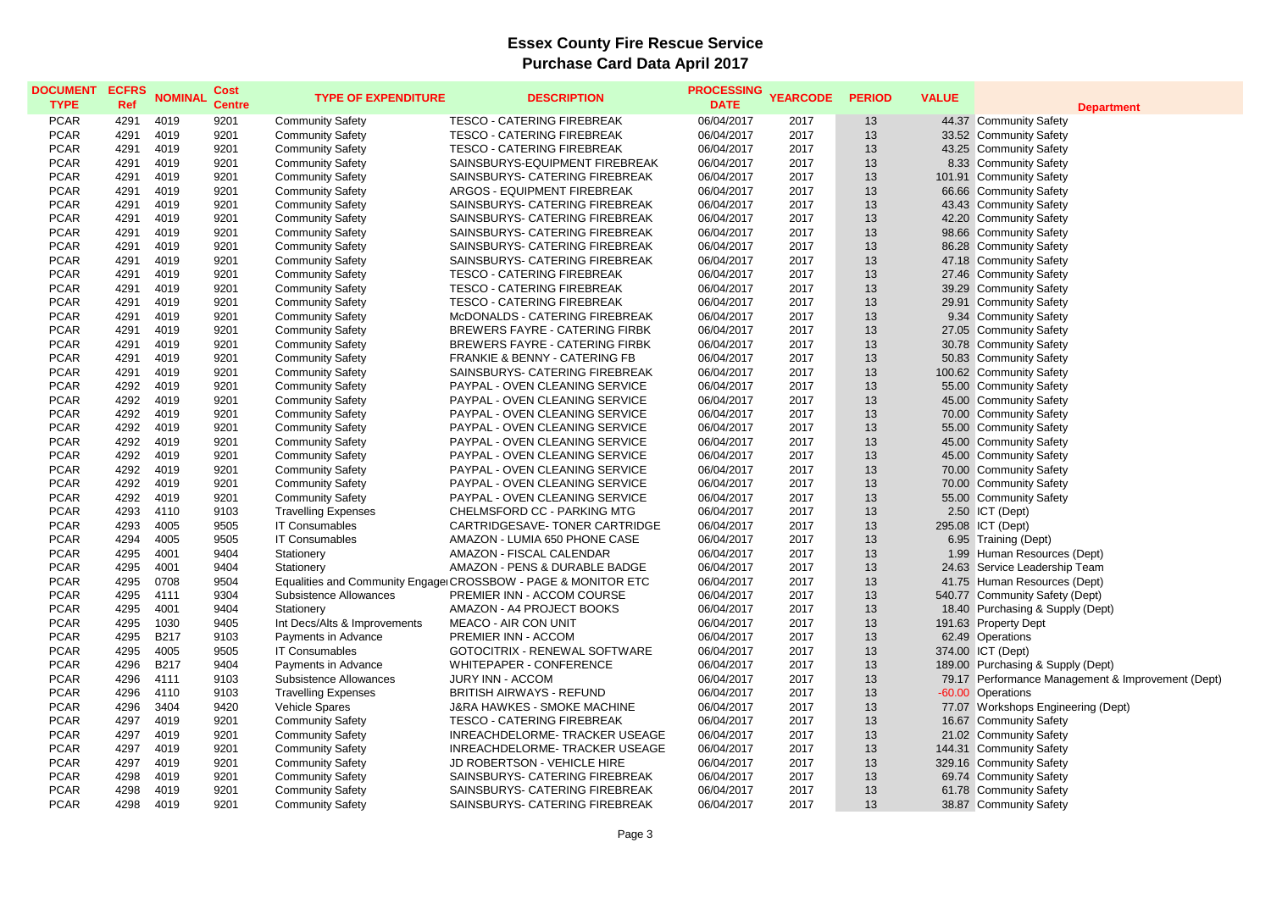#### **Department**

hasing & Supply (Dept) hasing & Supply (Dept) Prmance Management & Improvement (Dept) kshops Engineering (Dept<mark>)</mark><br>munity Safety

| <b>DOCUMENT</b><br><b>TYPE</b> | <b>ECFRS</b><br><b>Ref</b> | <b>NOMINAL</b> | <b>Cost</b><br><b>Centre</b> | <b>TYPE OF EXPENDITURE</b>   | <b>DESCRIPTION</b>                                            | <b>PROCESSING</b><br><b>DATE</b> | <b>YEARCODE</b> | <b>PERIOD</b> | <b>VALUE</b> | Depa                            |
|--------------------------------|----------------------------|----------------|------------------------------|------------------------------|---------------------------------------------------------------|----------------------------------|-----------------|---------------|--------------|---------------------------------|
| <b>PCAR</b>                    | 4291                       | 4019           | 9201                         | <b>Community Safety</b>      | <b>TESCO - CATERING FIREBREAK</b>                             | 06/04/2017                       | 2017            | -13           |              | 44.37 Community Safety          |
| <b>PCAR</b>                    | 4291                       | 4019           | 9201                         | <b>Community Safety</b>      | <b>TESCO - CATERING FIREBREAK</b>                             | 06/04/2017                       | 2017            | 13            |              | 33.52 Community Safety          |
| <b>PCAR</b>                    | 4291                       | 4019           | 9201                         | <b>Community Safety</b>      | <b>TESCO - CATERING FIREBREAK</b>                             | 06/04/2017                       | 2017            | 13            |              | 43.25 Community Safety          |
| <b>PCAR</b>                    | 4291                       | 4019           | 9201                         | <b>Community Safety</b>      | SAINSBURYS-EQUIPMENT FIREBREAK                                | 06/04/2017                       | 2017            | 13            |              | 8.33 Community Safety           |
| <b>PCAR</b>                    | 4291                       | 4019           | 9201                         | <b>Community Safety</b>      | SAINSBURYS- CATERING FIREBREAK                                | 06/04/2017                       | 2017            | 13            | 101.91       | Community Safety                |
| <b>PCAR</b>                    | 4291                       | 4019           | 9201                         | <b>Community Safety</b>      | <b>ARGOS - EQUIPMENT FIREBREAK</b>                            | 06/04/2017                       | 2017            | 13            |              | 66.66 Community Safety          |
| <b>PCAR</b>                    | 4291                       | 4019           | 9201                         | <b>Community Safety</b>      | SAINSBURYS- CATERING FIREBREAK                                | 06/04/2017                       | 2017            | 13            |              | 43.43 Community Safety          |
| <b>PCAR</b>                    | 4291                       | 4019           | 9201                         | <b>Community Safety</b>      | SAINSBURYS- CATERING FIREBREAK                                | 06/04/2017                       | 2017            | 13            | 42.20        | Community Safety                |
| <b>PCAR</b>                    | 4291                       | 4019           | 9201                         | <b>Community Safety</b>      | SAINSBURYS- CATERING FIREBREAK                                | 06/04/2017                       | 2017            | 13            |              | 98.66 Community Safety          |
| <b>PCAR</b>                    | 4291                       | 4019           | 9201                         | <b>Community Safety</b>      | SAINSBURYS- CATERING FIREBREAK                                | 06/04/2017                       | 2017            | 13            |              | 86.28 Community Safety          |
| <b>PCAR</b>                    | 4291                       | 4019           | 9201                         | <b>Community Safety</b>      | SAINSBURYS- CATERING FIREBREAK                                | 06/04/2017                       | 2017            | 13            |              | 47.18 Community Safety          |
| <b>PCAR</b>                    | 4291                       | 4019           | 9201                         | <b>Community Safety</b>      | <b>TESCO - CATERING FIREBREAK</b>                             | 06/04/2017                       | 2017            | 13            |              | 27.46 Community Safety          |
| <b>PCAR</b>                    | 4291                       | 4019           | 9201                         | <b>Community Safety</b>      | <b>TESCO - CATERING FIREBREAK</b>                             | 06/04/2017                       | 2017            | 13            |              | 39.29 Community Safety          |
| <b>PCAR</b>                    | 4291                       | 4019           | 9201                         | <b>Community Safety</b>      | <b>TESCO - CATERING FIREBREAK</b>                             | 06/04/2017                       | 2017            | 13            | 29.91        | <b>Community Safety</b>         |
| <b>PCAR</b>                    | 4291                       | 4019           | 9201                         | <b>Community Safety</b>      | McDONALDS - CATERING FIREBREAK                                | 06/04/2017                       | 2017            | 13            | 9.34         | <b>Community Safety</b>         |
| <b>PCAR</b>                    | 4291                       | 4019           | 9201                         | <b>Community Safety</b>      | <b>BREWERS FAYRE - CATERING FIRBK</b>                         | 06/04/2017                       | 2017            | 13            | 27.05        | Community Safety                |
| <b>PCAR</b>                    | 4291                       | 4019           | 9201                         | <b>Community Safety</b>      | <b>BREWERS FAYRE - CATERING FIRBK</b>                         | 06/04/2017                       | 2017            | 13            |              | 30.78 Community Safety          |
| <b>PCAR</b>                    | 4291                       | 4019           | 9201                         | <b>Community Safety</b>      | FRANKIE & BENNY - CATERING FB                                 | 06/04/2017                       | 2017            | 13            |              | 50.83 Community Safety          |
| <b>PCAR</b>                    | 4291                       | 4019           | 9201                         | <b>Community Safety</b>      | SAINSBURYS- CATERING FIREBREAK                                | 06/04/2017                       | 2017            | 13            |              | 100.62 Community Safety         |
| <b>PCAR</b>                    | 4292                       | 4019           | 9201                         | <b>Community Safety</b>      | PAYPAL - OVEN CLEANING SERVICE                                | 06/04/2017                       | 2017            | 13            |              | 55.00 Community Safety          |
| <b>PCAR</b>                    | 4292                       | 4019           | 9201                         | <b>Community Safety</b>      | PAYPAL - OVEN CLEANING SERVICE                                | 06/04/2017                       | 2017            | 13            | 45.00        | Community Safety                |
| <b>PCAR</b>                    | 4292                       | 4019           | 9201                         | <b>Community Safety</b>      | PAYPAL - OVEN CLEANING SERVICE                                | 06/04/2017                       | 2017            | 13            |              | 70.00 Community Safety          |
| <b>PCAR</b>                    | 4292                       | 4019           | 9201                         | <b>Community Safety</b>      | PAYPAL - OVEN CLEANING SERVICE                                | 06/04/2017                       | 2017            | 13            |              | 55.00 Community Safety          |
| <b>PCAR</b>                    | 4292                       | 4019           | 9201                         | <b>Community Safety</b>      | PAYPAL - OVEN CLEANING SERVICE                                | 06/04/2017                       | 2017            | 13            |              | 45.00 Community Safety          |
| <b>PCAR</b>                    | 4292                       | 4019           | 9201                         | <b>Community Safety</b>      | PAYPAL - OVEN CLEANING SERVICE                                | 06/04/2017                       | 2017            | 13            | 45.00        | Community Safety                |
| <b>PCAR</b>                    | 4292                       | 4019           | 9201                         | <b>Community Safety</b>      | PAYPAL - OVEN CLEANING SERVICE                                | 06/04/2017                       | 2017            | 13            |              | 70.00 Community Safety          |
| <b>PCAR</b>                    | 4292                       | 4019           | 9201                         | <b>Community Safety</b>      | PAYPAL - OVEN CLEANING SERVICE                                | 06/04/2017                       | 2017            | 13            | 70.00        | Community Safety                |
| <b>PCAR</b>                    | 4292                       | 4019           | 9201                         | <b>Community Safety</b>      | PAYPAL - OVEN CLEANING SERVICE                                | 06/04/2017                       | 2017            | 13            | 55.00        | Community Safety                |
| <b>PCAR</b>                    | 4293                       | 4110           | 9103                         | <b>Travelling Expenses</b>   | CHELMSFORD CC - PARKING MTG                                   | 06/04/2017                       | 2017            | 13            | 2.50         | ICT (Dept)                      |
| <b>PCAR</b>                    | 4293                       | 4005           | 9505                         | <b>IT Consumables</b>        | CARTRIDGESAVE- TONER CARTRIDGE                                | 06/04/2017                       | 2017            | 13            | 295.08       | ICT (Dept)                      |
| <b>PCAR</b>                    | 4294                       | 4005           | 9505                         | <b>IT Consumables</b>        | AMAZON - LUMIA 650 PHONE CASE                                 | 06/04/2017                       | 2017            | 13            | 6.95         | Training (Dept)                 |
| <b>PCAR</b>                    | 4295                       | 4001           | 9404                         | Stationery                   | AMAZON - FISCAL CALENDAR                                      | 06/04/2017                       | 2017            | 13            | 1.99         | Human Resources (Dept)          |
| <b>PCAR</b>                    | 4295                       | 4001           | 9404                         | Stationery                   | <b>AMAZON - PENS &amp; DURABLE BADGE</b>                      | 06/04/2017                       | 2017            | 13            | 24.63        | Service Leadership Team         |
| <b>PCAR</b>                    | 4295                       | 0708           | 9504                         |                              | Equalities and Community Engage CROSSBOW - PAGE & MONITOR ETC | 06/04/2017                       | 2017            | 13            | 41.75        | Human Resources (Dept)          |
| <b>PCAR</b>                    | 4295                       | 4111           | 9304                         | Subsistence Allowances       | PREMIER INN - ACCOM COURSE                                    | 06/04/2017                       | 2017            | 13            |              | 540.77 Community Safety (Dept)  |
| <b>PCAR</b>                    | 4295                       | 4001           | 9404                         | Stationery                   | AMAZON - A4 PROJECT BOOKS                                     | 06/04/2017                       | 2017            | 13            |              | 18.40 Purchasing & Supply (De)  |
| <b>PCAR</b>                    | 4295                       | 1030           | 9405                         | Int Decs/Alts & Improvements | <b>MEACO - AIR CON UNIT</b>                                   | 06/04/2017                       | 2017            | 13            |              | 191.63 Property Dept            |
| <b>PCAR</b>                    | 4295                       | <b>B217</b>    | 9103                         | Payments in Advance          | PREMIER INN - ACCOM                                           | 06/04/2017                       | 2017            | 13            |              | 62.49 Operations                |
| <b>PCAR</b>                    | 4295                       | 4005           | 9505                         | <b>IT Consumables</b>        | GOTOCITRIX - RENEWAL SOFTWARE                                 | 06/04/2017                       | 2017            | 13            |              | 374.00 ICT (Dept)               |
| <b>PCAR</b>                    | 4296                       | <b>B217</b>    | 9404                         | Payments in Advance          | WHITEPAPER - CONFERENCE                                       | 06/04/2017                       | 2017            | 13            |              | 189.00 Purchasing & Supply (Dep |
| <b>PCAR</b>                    | 4296                       | 4111           | 9103                         | Subsistence Allowances       | <b>JURY INN - ACCOM</b>                                       | 06/04/2017                       | 2017            | 13            |              | 79.17 Performance Managemer     |
| <b>PCAR</b>                    | 4296                       | 4110           | 9103                         | <b>Travelling Expenses</b>   | <b>BRITISH AIRWAYS - REFUND</b>                               | 06/04/2017                       | 2017            | 13            |              | -60.00 Operations               |
| <b>PCAR</b>                    | 4296                       | 3404           | 9420                         | Vehicle Spares               | <b>J&amp;RA HAWKES - SMOKE MACHINE</b>                        | 06/04/2017                       | 2017            | 13            |              | 77.07 Workshops Engineering (   |
| <b>PCAR</b>                    | 4297                       | 4019           | 9201                         | <b>Community Safety</b>      | <b>TESCO - CATERING FIREBREAK</b>                             | 06/04/2017                       | 2017            | 13            |              | 16.67 Community Safety          |
| <b>PCAR</b>                    | 4297                       | 4019           | 9201                         | <b>Community Safety</b>      | INREACHDELORME- TRACKER USEAGE                                | 06/04/2017                       | 2017            | 13            |              | 21.02 Community Safety          |
| <b>PCAR</b>                    | 4297                       | 4019           | 9201                         | <b>Community Safety</b>      | INREACHDELORME- TRACKER USEAGE                                | 06/04/2017                       | 2017            | 13            |              | 144.31 Community Safety         |
| <b>PCAR</b>                    | 4297                       | 4019           | 9201                         | <b>Community Safety</b>      | JD ROBERTSON - VEHICLE HIRE                                   | 06/04/2017                       | 2017            | 13            |              | 329.16 Community Safety         |
| <b>PCAR</b>                    | 4298                       | 4019           | 9201                         | <b>Community Safety</b>      | SAINSBURYS- CATERING FIREBREAK                                | 06/04/2017                       | 2017            | 13            |              | 69.74 Community Safety          |
| <b>PCAR</b>                    | 4298                       | 4019           | 9201                         | <b>Community Safety</b>      | SAINSBURYS- CATERING FIREBREAK                                | 06/04/2017                       | 2017            | 13            |              | 61.78 Community Safety          |
| <b>PCAR</b>                    | 4298                       | 4019           | 9201                         | <b>Community Safety</b>      | SAINSBURYS- CATERING FIREBREAK                                | 06/04/2017                       | 2017            | 13            |              | 38.87 Community Safety          |